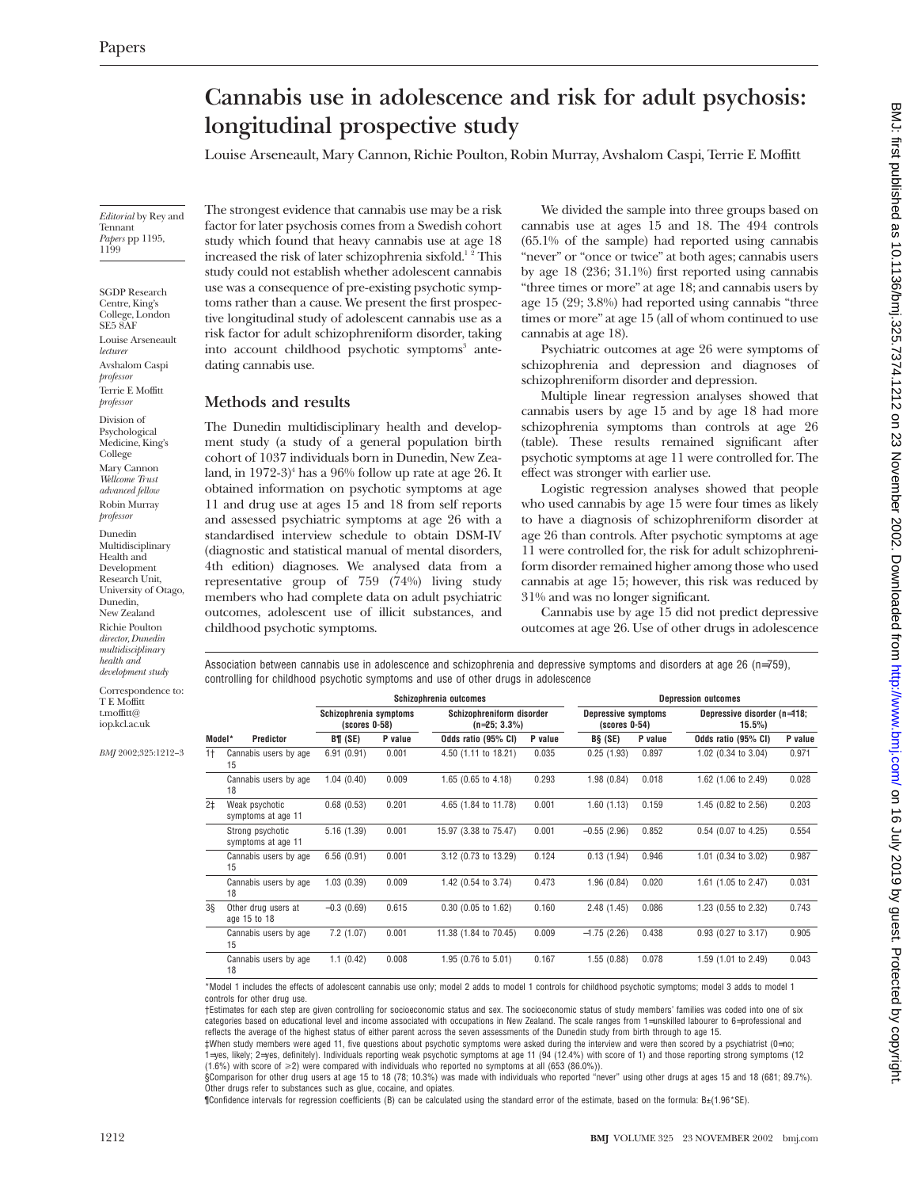# **Cannabis use in adolescence and risk for adult psychosis: longitudinal prospective study**

Louise Arseneault, Mary Cannon, Richie Poulton, Robin Murray, Avshalom Caspi, Terrie E Moffitt

*Editorial* by Rey and Tennant *Papers* pp 1195, 1199

SGDP Research Centre, King's College, London SE5 8AF Louise Arseneault *lecturer* Avshalom Caspi *professor* Terrie E Moffitt *professor*

Division of Psychological Medicine, King's College Mary Cannon *Wellcome Trust advanced fellow* Robin Murray *professor*

Dunedin Multidisciplinary Health and Development Research Unit, University of Otago, Dunedin, New Zealand Richie Poulton *director, Dunedin multidisciplinary health and development study*

Correspondence to: T E Moffitt t.moffitt@ iop.kcl.ac.uk

*BMJ* 2002;325:1212–3

The strongest evidence that cannabis use may be a risk factor for later psychosis comes from a Swedish cohort study which found that heavy cannabis use at age 18 increased the risk of later schizophrenia sixfold.<sup>1</sup><sup>2</sup> This study could not establish whether adolescent cannabis use was a consequence of pre-existing psychotic symptoms rather than a cause. We present the first prospective longitudinal study of adolescent cannabis use as a risk factor for adult schizophreniform disorder, taking into account childhood psychotic symptoms<sup>3</sup> antedating cannabis use.

## **Methods and results**

The Dunedin multidisciplinary health and development study (a study of a general population birth cohort of 1037 individuals born in Dunedin, New Zealand, in  $1972-3$ <sup>4</sup> has a 96% follow up rate at age 26. It obtained information on psychotic symptoms at age 11 and drug use at ages 15 and 18 from self reports and assessed psychiatric symptoms at age 26 with a standardised interview schedule to obtain DSM-IV (diagnostic and statistical manual of mental disorders, 4th edition) diagnoses. We analysed data from a representative group of 759 (74%) living study members who had complete data on adult psychiatric outcomes, adolescent use of illicit substances, and childhood psychotic symptoms.

We divided the sample into three groups based on cannabis use at ages 15 and 18. The 494 controls (65.1% of the sample) had reported using cannabis "never" or "once or twice" at both ages; cannabis users by age 18 (236; 31.1%) first reported using cannabis "three times or more" at age 18; and cannabis users by age 15 (29; 3.8%) had reported using cannabis "three times or more" at age 15 (all of whom continued to use cannabis at age 18).

Psychiatric outcomes at age 26 were symptoms of schizophrenia and depression and diagnoses of schizophreniform disorder and depression.

Multiple linear regression analyses showed that cannabis users by age 15 and by age 18 had more schizophrenia symptoms than controls at age 26 (table). These results remained significant after psychotic symptoms at age 11 were controlled for. The effect was stronger with earlier use.

Logistic regression analyses showed that people who used cannabis by age 15 were four times as likely to have a diagnosis of schizophreniform disorder at age 26 than controls. After psychotic symptoms at age 11 were controlled for, the risk for adult schizophreniform disorder remained higher among those who used cannabis at age 15; however, this risk was reduced by 31% and was no longer significant.

Cannabis use by age 15 did not predict depressive outcomes at age 26. Use of other drugs in adolescence

Association between cannabis use in adolescence and schizophrenia and depressive symptoms and disorders at age 26 (n=759), controlling for childhood psychotic symptoms and use of other drugs in adolescence

|                | Predictor                              | Schizophrenia outcomes                    |         |                                              |         | <b>Depression outcomes</b>                    |         |                                         |         |
|----------------|----------------------------------------|-------------------------------------------|---------|----------------------------------------------|---------|-----------------------------------------------|---------|-----------------------------------------|---------|
|                |                                        | Schizophrenia symptoms<br>$(scores 0-58)$ |         | Schizophreniform disorder<br>$(n=25; 3.3\%)$ |         | <b>Depressive symptoms</b><br>$(scores 0-54)$ |         | Depressive disorder (n=118;<br>$15.5\%$ |         |
| Model*         |                                        | BT(SE)                                    | P value | Odds ratio (95% CI)                          | P value | BS(SE)                                        | P value | Odds ratio (95% CI)                     | P value |
| $1+$           | Cannabis users by age<br>15            | 6.91(0.91)                                | 0.001   | 4.50 (1.11 to 18.21)                         | 0.035   | 0.25(1.93)                                    | 0.897   | 1.02 (0.34 to 3.04)                     | 0.971   |
|                | Cannabis users by age<br>18            | 1.04(0.40)                                | 0.009   | 1.65 (0.65 to 4.18)                          | 0.293   | 1.98(0.84)                                    | 0.018   | 1.62 (1.06 to 2.49)                     | 0.028   |
| 2 <sup>±</sup> | Weak psychotic<br>symptoms at age 11   | 0.68(0.53)                                | 0.201   | 4.65 (1.84 to 11.78)                         | 0.001   | 1.60(1.13)                                    | 0.159   | 1.45 (0.82 to 2.56)                     | 0.203   |
|                | Strong psychotic<br>symptoms at age 11 | 5.16(1.39)                                | 0.001   | 15.97 (3.38 to 75.47)                        | 0.001   | $-0.55(2.96)$                                 | 0.852   | $0.54$ (0.07 to 4.25)                   | 0.554   |
|                | Cannabis users by age<br>15            | 6.56(0.91)                                | 0.001   | 3.12 (0.73 to 13.29)                         | 0.124   | 0.13(1.94)                                    | 0.946   | 1.01 (0.34 to 3.02)                     | 0.987   |
|                | Cannabis users by age<br>18            | 1.03(0.39)                                | 0.009   | 1.42 (0.54 to 3.74)                          | 0.473   | 1.96(0.84)                                    | 0.020   | 1.61 (1.05 to 2.47)                     | 0.031   |
| 38             | Other drug users at<br>age 15 to 18    | $-0.3(0.69)$                              | 0.615   | $0.30$ (0.05 to 1.62)                        | 0.160   | 2.48(1.45)                                    | 0.086   | 1.23 (0.55 to 2.32)                     | 0.743   |
|                | Cannabis users by age<br>15            | 7.2(1.07)                                 | 0.001   | 11.38 (1.84 to 70.45)                        | 0.009   | $-1.75(2.26)$                                 | 0.438   | $0.93$ (0.27 to 3.17)                   | 0.905   |
|                | Cannabis users by age<br>18            | 1.1(0.42)                                 | 0.008   | 1.95 (0.76 to 5.01)                          | 0.167   | 1.55(0.88)                                    | 0.078   | 1.59 (1.01 to 2.49)                     | 0.043   |

\*Model 1 includes the effects of adolescent cannabis use only; model 2 adds to model 1 controls for childhood psychotic symptoms; model 3 adds to model 1 controls for other drug use.

†Estimates for each step are given controlling for socioeconomic status and sex. The socioeconomic status of study members' families was coded into one of six categories based on educational level and income associated with occupations in New Zealand. The scale ranges from 1=unskilled labourer to 6=professional and reflects the average of the highest status of either parent across the seven assessments of the Dunedin study from birth through to age 15.

‡When study members were aged 11, five questions about psychotic symptoms were asked during the interview and were then scored by a psychiatrist (0=no; 1=yes, likely; 2=yes, definitely). Individuals reporting weak psychotic symptoms at age 11 (94 (12.4%) with score of 1) and those reporting strong symptoms (12  $(1.6\%)$  with score of  $\geq$  were compared with individuals who reported no symptoms at all (653 (86.0%)).

§Comparison for other drug users at age 15 to 18 (78; 10.3%) was made with individuals who reported "never" using other drugs at ages 15 and 18 (681; 89.7%). Other drugs refer to substances such as glue, cocaine, and opiates.

¶Confidence intervals for regression coefficients (B) can be calculated using the standard error of the estimate, based on the formula: B±(1.96\*SE).